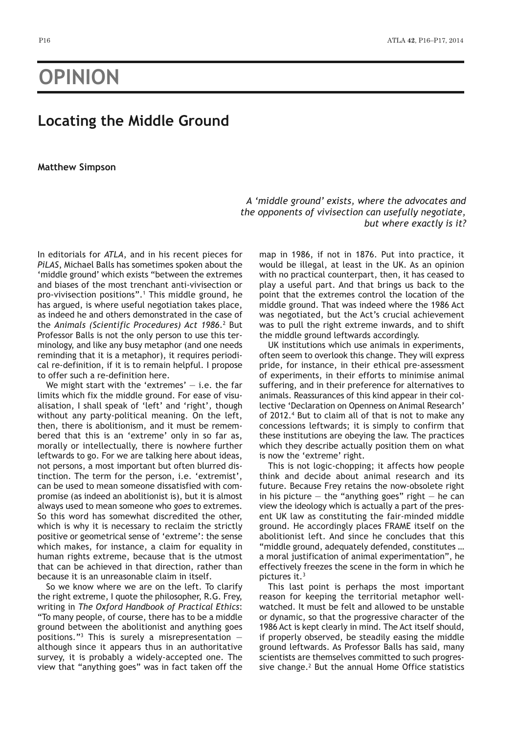## **OPINION**

## **Locating the Middle Ground**

## **Matthew Simpson**

*A 'middle ground' exists, where the advocates and the opponents of vivisection can usefully negotiate, but where exactly is it?*

In editorials for *ATLA*, and in his recent pieces for *PiLAS*, Michael Balls has sometimes spoken about the 'middle ground' which exists "between the extremes and biases of the most trenchant anti-vivisection or pro-vivisection positions".1 This middle ground, he has argued, is where useful negotiation takes place, as indeed he and others demonstrated in the case of the *Animals (Scientific Procedures) Act 1986*.2 But Professor Balls is not the only person to use this terminology, and like any busy metaphor (and one needs reminding that it is a metaphor), it requires periodical re-definition, if it is to remain helpful. I propose to offer such a re-definition here.

We might start with the 'extremes'  $-$  i.e. the far limits which fix the middle ground. For ease of visualisation, I shall speak of 'left' and 'right', though without any party-political meaning. On the left, then, there is abolitionism, and it must be remembered that this is an 'extreme' only in so far as, morally or intellectually, there is nowhere further leftwards to go. For we are talking here about ideas, not persons, a most important but often blurred distinction. The term for the person, i.e. 'extremist', can be used to mean someone dissatisfied with compromise (as indeed an abolitionist is), but it is almost always used to mean someone who *goes* to extremes. So this word has somewhat discredited the other, which is why it is necessary to reclaim the strictly positive or geometrical sense of 'extreme': the sense which makes, for instance, a claim for equality in human rights extreme, because that is the utmost that can be achieved in that direction, rather than because it is an unreasonable claim in itself.

So we know where we are on the left. To clarify the right extreme, I quote the philosopher, R.G. Frey, writing in *The Oxford Handbook of Practical Ethics*: "To many people, of course, there has to be a middle ground between the abolitionist and anything goes positions."<sup>3</sup> This is surely a misrepresentation  $$ although since it appears thus in an authoritative survey, it is probably a widely-accepted one. The view that "anything goes" was in fact taken off the map in 1986, if not in 1876. Put into practice, it would be illegal, at least in the UK. As an opinion with no practical counterpart, then, it has ceased to play a useful part. And that brings us back to the point that the extremes control the location of the middle ground. That was indeed where the 1986 Act was negotiated, but the Act's crucial achievement was to pull the right extreme inwards, and to shift the middle ground leftwards accordingly.

UK institutions which use animals in experiments, often seem to overlook this change. They will express pride, for instance, in their ethical pre-assessment of experiments, in their efforts to minimise animal suffering, and in their preference for alternatives to animals. Reassurances of this kind appear in their collective 'Declaration on Openness on Animal Research' of 2012.4 But to claim all of that is not to make any concessions leftwards; it is simply to confirm that these institutions are obeying the law. The practices which they describe actually position them on what is now the 'extreme' right.

This is not logic-chopping; it affects how people think and decide about animal research and its future. Because Frey retains the now-obsolete right in his picture  $-$  the "anything goes" right  $-$  he can view the ideology which is actually a part of the present UK law as constituting the fair-minded middle ground. He accordingly places FRAME itself on the abolitionist left. And since he concludes that this "middle ground, adequately defended, constitutes … a moral justification of animal experimentation", he effectively freezes the scene in the form in which he pictures it.3

This last point is perhaps the most important reason for keeping the territorial metaphor wellwatched. It must be felt and allowed to be unstable or dynamic, so that the progressive character of the 1986 Act is kept clearly in mind. The Act itself should, if properly observed, be steadily easing the middle ground leftwards. As Professor Balls has said, many scientists are themselves committed to such progressive change. $2$  But the annual Home Office statistics